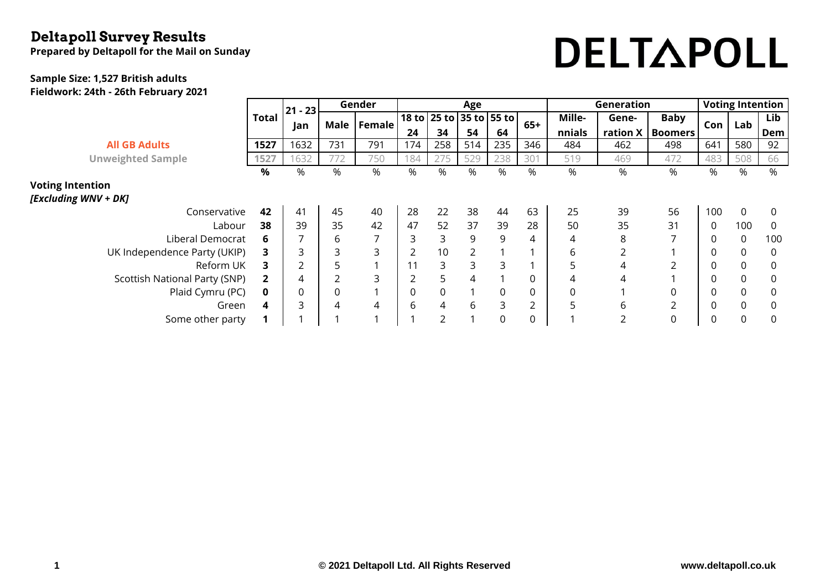### **Deltapoll Survey Results**

**Prepared by Deltapoll for the Mail on Sunday**

# DELTAPOLL

#### **Sample Size: 1,527 British adults Fieldwork: 24th - 26th February 2021**

|                               |              | $21 - 23$      | Gender |                | Age |                |                         |     |                | Generation     | <b>Voting Intention</b> |                |                  |             |                |
|-------------------------------|--------------|----------------|--------|----------------|-----|----------------|-------------------------|-----|----------------|----------------|-------------------------|----------------|------------------|-------------|----------------|
|                               | <b>Total</b> |                | Male   | Female         |     |                | 18 to 25 to 35 to 55 to |     | $65+$          | Mille-         | Gene-                   | <b>Baby</b>    | Con <sub>1</sub> | Lab         | Lib            |
|                               |              | Jan            |        |                | 24  | 34             | 54                      | 64  |                | nnials         | ration $X$              | <b>Boomers</b> |                  |             | Dem            |
| <b>All GB Adults</b>          | 1527         | 1632           | 731    | 791            | 174 | 258            | 514                     | 235 | 346            | 484            | 462                     | 498            | 641              | 580         | 92             |
| <b>Unweighted Sample</b>      | 1527         | 1632           | 772    | 750            | 184 | 275            | 529                     | 238 | 301            | 519            | 469                     | 472            | 483              | 508         | 66             |
|                               | %            | %              | %      | %              | %   | %              | %                       | %   | %              | %              | %                       | %              | %                | %           | %              |
| <b>Voting Intention</b>       |              |                |        |                |     |                |                         |     |                |                |                         |                |                  |             |                |
| [Excluding WNV + DK]          |              |                |        |                |     |                |                         |     |                |                |                         |                |                  |             |                |
| Conservative                  | 42           | 41             | 45     | 40             | 28  | 22             | 38                      | 44  | 63             | 25             | 39                      | 56             | 100              | $\mathbf 0$ | $\overline{0}$ |
| Labour                        | 38           | 39             | 35     | 42             | 47  | 52             | 37                      | 39  | 28             | 50             | 35                      | 31             | 0                | 100         | 0              |
| Liberal Democrat              | 6            | 7              | 6      | $\overline{7}$ | 3   | 3              | 9                       | 9   | 4              | 4              | 8                       |                | 0                | $\mathbf 0$ | 100            |
| UK Independence Party (UKIP)  | 3.           | 3              | 3      | 3              |     | 10             | $\overline{2}$          |     |                | 6              | 2                       |                | 0                | 0           | 0              |
| Reform UK                     | 3            | $\overline{2}$ | 5      | $\mathbf{A}$   |     | 3              | 3                       | 3   |                | 5              | 4                       | $\overline{2}$ | $\Omega$         | 0           | 0              |
| Scottish National Party (SNP) |              | 4              | 2      | 3              | 2   | 5              | 4                       |     | 0              | 4              | 4                       |                | 0                | 0           | 0              |
| Plaid Cymru (PC)              | 0            | 0              | 0      | $\overline{ }$ | 0   | $\mathbf 0$    | 1                       | 0   | 0              | $\overline{0}$ |                         | 0              | 0                | $\mathbf 0$ | $\overline{0}$ |
| Green                         | 4            | 3              | 4      | 4              | 6   | 4              | 6                       | 3   | $\overline{2}$ | 5              | 6                       | $\overline{2}$ | 0                | 0           | 0              |
| Some other party              |              |                |        | $\mathbf{A}$   |     | $\overline{2}$ | $\mathbf{A}$            | 0   | 0              |                | 2                       | 0              | 0                | 0           | 0              |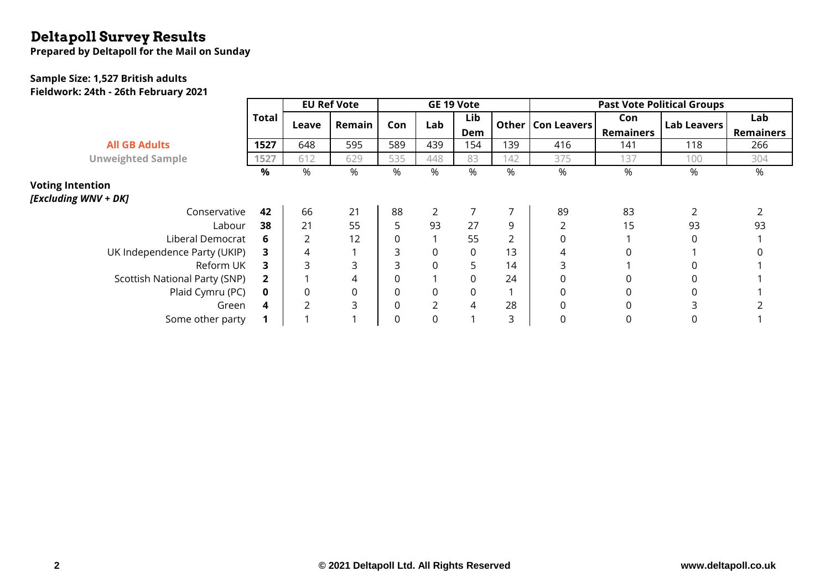## **Deltapoll Survey Results**

**Prepared by Deltapoll for the Mail on Sunday**

#### **Sample Size: 1,527 British adults**

**Fieldwork: 24th - 26th February 2021**

|                               |              | <b>EU Ref Vote</b> |        |     |     | GE 19 Vote  |     | <b>Past Vote Political Groups</b> |                  |                    |                  |  |  |
|-------------------------------|--------------|--------------------|--------|-----|-----|-------------|-----|-----------------------------------|------------------|--------------------|------------------|--|--|
|                               | <b>Total</b> | Leave              | Remain | Con | Lab | Lib         |     | Other   Con Leavers               | Con              | <b>Lab Leavers</b> | Lab              |  |  |
|                               |              |                    |        |     |     | Dem         |     |                                   | <b>Remainers</b> |                    | <b>Remainers</b> |  |  |
| <b>All GB Adults</b>          | 1527         | 648                | 595    | 589 | 439 | 154         | 139 | 416                               | 141              | 118                | 266              |  |  |
| <b>Unweighted Sample</b>      | 1527         | 612                | 629    | 535 | 448 | 83          | 142 | 375                               | 137              | 100                | 304              |  |  |
|                               | %            | %                  | %      | %   | %   | %           | %   | %                                 | %                | %                  | %                |  |  |
| <b>Voting Intention</b>       |              |                    |        |     |     |             |     |                                   |                  |                    |                  |  |  |
| [Excluding WNV + DK]          |              |                    |        |     |     |             |     |                                   |                  |                    |                  |  |  |
| Conservative                  | 42           | 66                 | 21     | 88  |     |             |     | 89                                | 83               |                    |                  |  |  |
| Labour                        | 38           | 21                 | 55     | 5   | 93  | 27          | 9   | 2                                 | 15               | 93                 | 93               |  |  |
| Liberal Democrat              | 6            |                    | 12     |     |     | 55          |     | 0                                 |                  |                    |                  |  |  |
| UK Independence Party (UKIP)  | 3.           | 4                  |        | 3   | 0   | $\mathbf 0$ | 13  | 4                                 | 0                |                    |                  |  |  |
| Reform UK                     | 3.           |                    | 3      | 3   | 0   | 5.          | 14  | 3                                 |                  |                    |                  |  |  |
| Scottish National Party (SNP) | $\mathbf{2}$ |                    | 4      |     |     | $\Omega$    | 24  | 0                                 | 0                |                    |                  |  |  |
| Plaid Cymru (PC)              | 0            | $\Omega$           | 0      | 0   | 0   | 0           |     | 0                                 | 0                |                    |                  |  |  |
| Green                         | 4            |                    | 3      | 0   |     | 4           | 28  | 0                                 | 0                |                    |                  |  |  |
| Some other party              |              |                    |        | 0   | 0   |             | 3   | 0                                 | 0                | 0                  |                  |  |  |